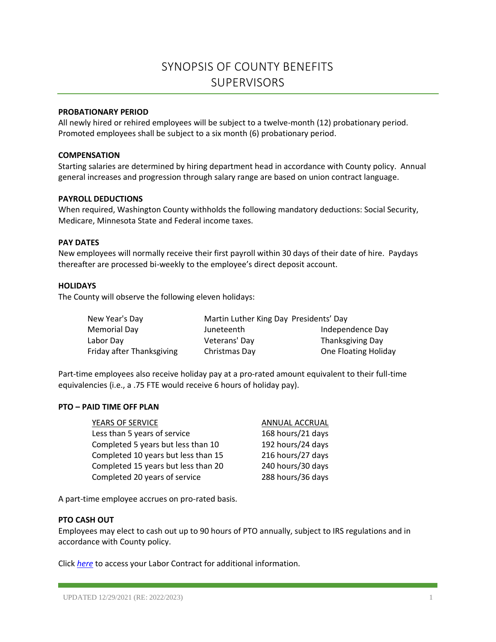# SYNOPSIS OF COUNTY BENEFITS **SUPERVISORS**

## **PROBATIONARY PERIOD**

All newly hired or rehired employees will be subject to a twelve-month (12) probationary period. Promoted employees shall be subject to a six month (6) probationary period.

### **COMPENSATION**

Starting salaries are determined by hiring department head in accordance with County policy. Annual general increases and progression through salary range are based on union contract language.

## **PAYROLL DEDUCTIONS**

When required, Washington County withholds the following mandatory deductions: Social Security, Medicare, Minnesota State and Federal income taxes.

### **PAY DATES**

New employees will normally receive their first payroll within 30 days of their date of hire. Paydays thereafter are processed bi-weekly to the employee's direct deposit account.

## **HOLIDAYS**

The County will observe the following eleven holidays:

| New Year's Day            | Martin Luther King Day Presidents' Day |                      |
|---------------------------|----------------------------------------|----------------------|
| Memorial Day              | Juneteenth                             | Independence Day     |
| Labor Day                 | Veterans' Day                          | Thanksgiving Day     |
| Friday after Thanksgiving | Christmas Day                          | One Floating Holiday |

Part-time employees also receive holiday pay at a pro-rated amount equivalent to their full-time equivalencies (i.e., a .75 FTE would receive 6 hours of holiday pay).

### **PTO – PAID TIME OFF PLAN**

| YEARS OF SERVICE                    | ANNUAL ACCRUAL    |
|-------------------------------------|-------------------|
| Less than 5 years of service        | 168 hours/21 days |
| Completed 5 years but less than 10  | 192 hours/24 days |
| Completed 10 years but less than 15 | 216 hours/27 days |
| Completed 15 years but less than 20 | 240 hours/30 days |
| Completed 20 years of service       | 288 hours/36 days |

A part-time employee accrues on pro-rated basis.

## **PTO CASH OUT**

Employees may elect to cash out up to 90 hours of PTO annually, subject to IRS regulations and in accordance with County policy.

Click *[here](https://washnet.co.washington.mn.us/depts/hr/labagre/IntraCon/Supervisor%20Association%20CBA.pdf)* to access your Labor Contract for additional information.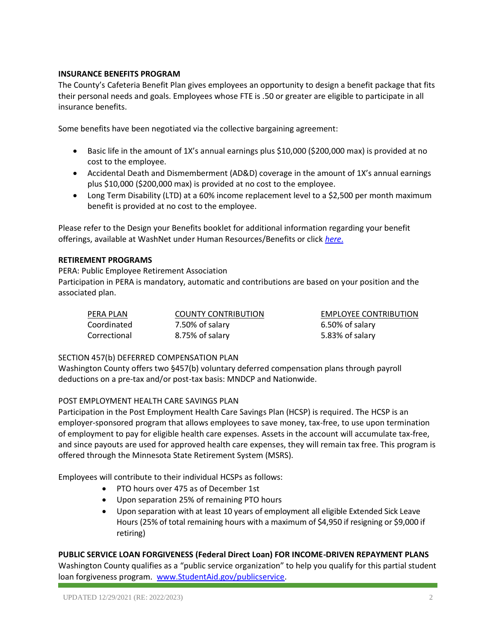# **INSURANCE BENEFITS PROGRAM**

The County's Cafeteria Benefit Plan gives employees an opportunity to design a benefit package that fits their personal needs and goals. Employees whose FTE is .50 or greater are eligible to participate in all insurance benefits.

Some benefits have been negotiated via the collective bargaining agreement:

- Basic life in the amount of 1X's annual earnings plus \$10,000 (\$200,000 max) is provided at no cost to the employee.
- Accidental Death and Dismemberment (AD&D) coverage in the amount of 1X's annual earnings plus \$10,000 (\$200,000 max) is provided at no cost to the employee.
- Long Term Disability (LTD) at a 60% income replacement level to a \$2,500 per month maximum benefit is provided at no cost to the employee.

Please refer to the Design your Benefits booklet for additional information regarding your benefit offerings, available at WashNet under Human Resources/Benefits or click *[here](https://washnet.co.washington.mn.us/depts/hr/benefits2/Shared%20Documents/CurrentBenefitBook.pdf?csf=1&e=CmQiSr)*.

# **RETIREMENT PROGRAMS**

PERA: Public Employee Retirement Association Participation in PERA is mandatory, automatic and contributions are based on your position and the associated plan.

Coordinated 7.50% of salary 6.50% of salary Correctional 8.75% of salary 6.83% of salary 5.83% of salary

PERA PLAN COUNTY CONTRIBUTION EMPLOYEE CONTRIBUTION

# SECTION 457(b) DEFERRED COMPENSATION PLAN

Washington County offers two §457(b) voluntary deferred compensation plans through payroll deductions on a pre-tax and/or post-tax basis: MNDCP and Nationwide.

# POST EMPLOYMENT HEALTH CARE SAVINGS PLAN

Participation in the Post Employment Health Care Savings Plan (HCSP) is required. The HCSP is an employer-sponsored program that allows employees to save money, tax-free, to use upon termination of employment to pay for eligible health care expenses. Assets in the account will accumulate tax-free, and since payouts are used for approved health care expenses, they will remain tax free. This program is offered through the Minnesota State Retirement System (MSRS).

Employees will contribute to their individual HCSPs as follows:

- PTO hours over 475 as of December 1st
- Upon separation 25% of remaining PTO hours
- Upon separation with at least 10 years of employment all eligible Extended Sick Leave Hours (25% of total remaining hours with a maximum of \$4,950 if resigning or \$9,000 if retiring)

# **PUBLIC SERVICE LOAN FORGIVENESS (Federal Direct Loan) FOR INCOME-DRIVEN REPAYMENT PLANS**

Washington County qualifies as a "public service organization" to help you qualify for this partial student loan forgiveness program. [www.StudentAid.gov/publicservice.](http://www.studentaid.gov/publicservice)